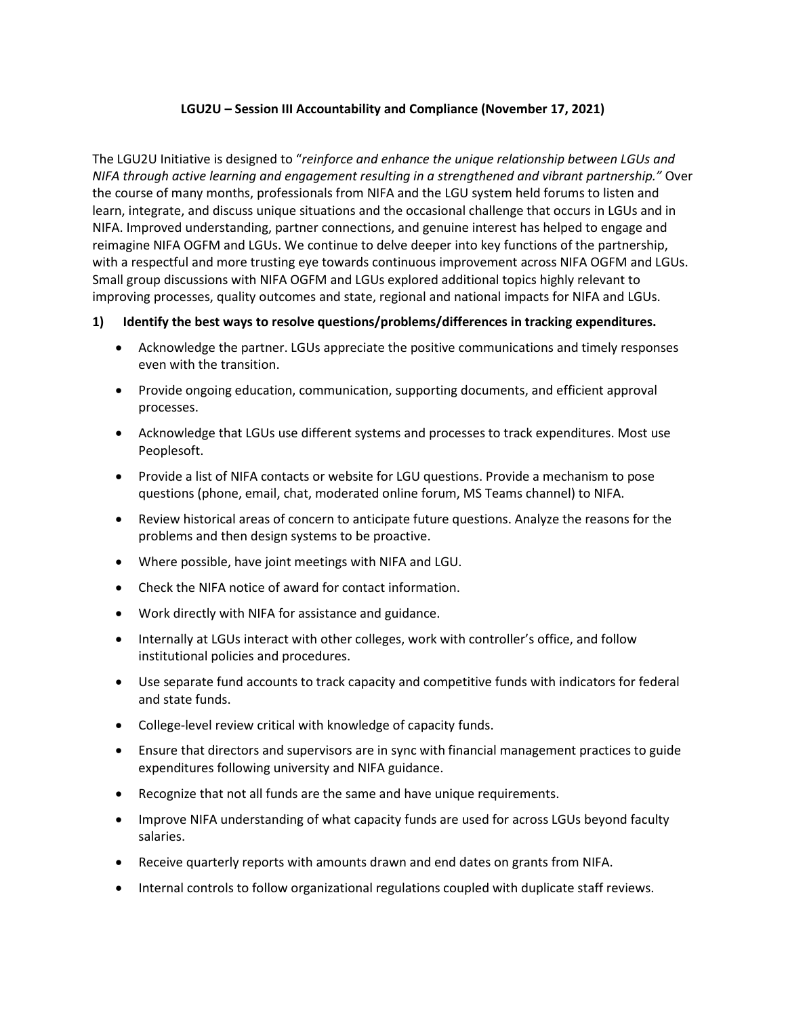## **LGU2U – Session III Accountability and Compliance (November 17, 2021)**

The LGU2U Initiative is designed to "*reinforce and enhance the unique relationship between LGUs and NIFA through active learning and engagement resulting in a strengthened and vibrant partnership."* Over the course of many months, professionals from NIFA and the LGU system held forums to listen and learn, integrate, and discuss unique situations and the occasional challenge that occurs in LGUs and in NIFA. Improved understanding, partner connections, and genuine interest has helped to engage and reimagine NIFA OGFM and LGUs. We continue to delve deeper into key functions of the partnership, with a respectful and more trusting eye towards continuous improvement across NIFA OGFM and LGUs. Small group discussions with NIFA OGFM and LGUs explored additional topics highly relevant to improving processes, quality outcomes and state, regional and national impacts for NIFA and LGUs.

## **1) Identify the best ways to resolve questions/problems/differences in tracking expenditures.**

- Acknowledge the partner. LGUs appreciate the positive communications and timely responses even with the transition.
- Provide ongoing education, communication, supporting documents, and efficient approval processes.
- Acknowledge that LGUs use different systems and processes to track expenditures. Most use Peoplesoft.
- Provide a list of NIFA contacts or website for LGU questions. Provide a mechanism to pose questions (phone, email, chat, moderated online forum, MS Teams channel) to NIFA.
- Review historical areas of concern to anticipate future questions. Analyze the reasons for the problems and then design systems to be proactive.
- Where possible, have joint meetings with NIFA and LGU.
- Check the NIFA notice of award for contact information.
- Work directly with NIFA for assistance and guidance.
- Internally at LGUs interact with other colleges, work with controller's office, and follow institutional policies and procedures.
- Use separate fund accounts to track capacity and competitive funds with indicators for federal and state funds.
- College-level review critical with knowledge of capacity funds.
- Ensure that directors and supervisors are in sync with financial management practices to guide expenditures following university and NIFA guidance.
- Recognize that not all funds are the same and have unique requirements.
- Improve NIFA understanding of what capacity funds are used for across LGUs beyond faculty salaries.
- Receive quarterly reports with amounts drawn and end dates on grants from NIFA.
- Internal controls to follow organizational regulations coupled with duplicate staff reviews.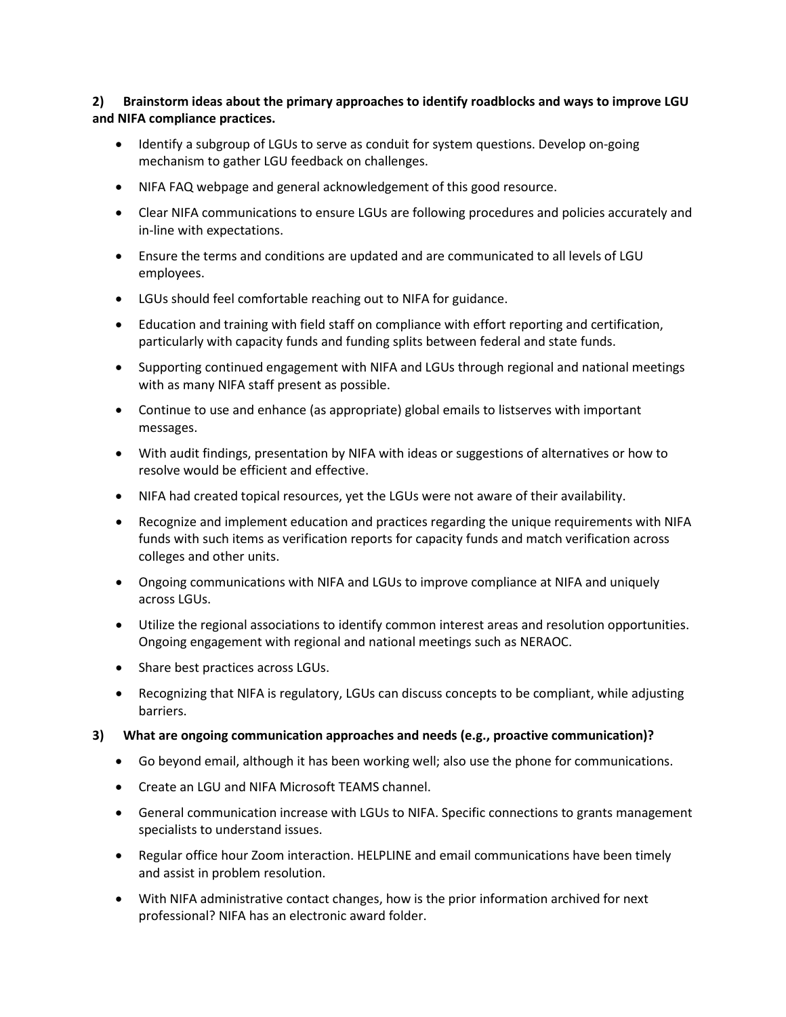**2) Brainstorm ideas about the primary approaches to identify roadblocks and ways to improve LGU and NIFA compliance practices.**

- Identify a subgroup of LGUs to serve as conduit for system questions. Develop on-going mechanism to gather LGU feedback on challenges.
- NIFA FAQ webpage and general acknowledgement of this good resource.
- Clear NIFA communications to ensure LGUs are following procedures and policies accurately and in-line with expectations.
- Ensure the terms and conditions are updated and are communicated to all levels of LGU employees.
- LGUs should feel comfortable reaching out to NIFA for guidance.
- Education and training with field staff on compliance with effort reporting and certification, particularly with capacity funds and funding splits between federal and state funds.
- Supporting continued engagement with NIFA and LGUs through regional and national meetings with as many NIFA staff present as possible.
- Continue to use and enhance (as appropriate) global emails to listserves with important messages.
- With audit findings, presentation by NIFA with ideas or suggestions of alternatives or how to resolve would be efficient and effective.
- NIFA had created topical resources, yet the LGUs were not aware of their availability.
- Recognize and implement education and practices regarding the unique requirements with NIFA funds with such items as verification reports for capacity funds and match verification across colleges and other units.
- Ongoing communications with NIFA and LGUs to improve compliance at NIFA and uniquely across LGUs.
- Utilize the regional associations to identify common interest areas and resolution opportunities. Ongoing engagement with regional and national meetings such as NERAOC.
- Share best practices across LGUs.
- Recognizing that NIFA is regulatory, LGUs can discuss concepts to be compliant, while adjusting barriers.
- **3) What are ongoing communication approaches and needs (e.g., proactive communication)?**
	- Go beyond email, although it has been working well; also use the phone for communications.
	- Create an LGU and NIFA Microsoft TEAMS channel.
	- General communication increase with LGUs to NIFA. Specific connections to grants management specialists to understand issues.
	- Regular office hour Zoom interaction. HELPLINE and email communications have been timely and assist in problem resolution.
	- With NIFA administrative contact changes, how is the prior information archived for next professional? NIFA has an electronic award folder.